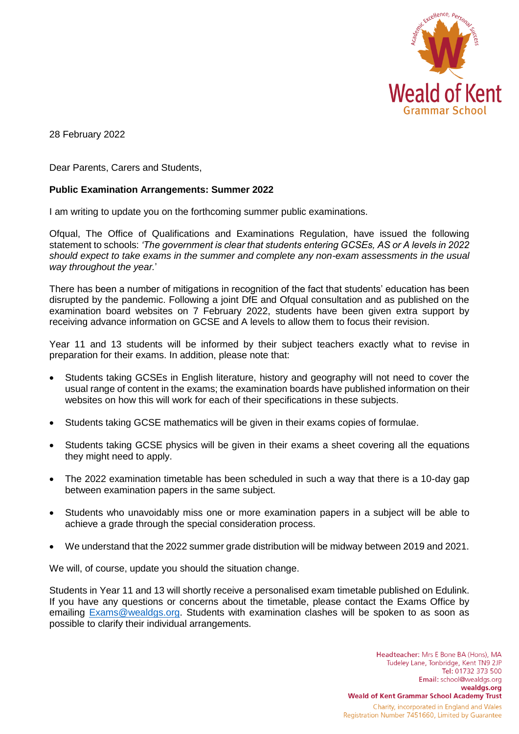

28 February 2022

Dear Parents, Carers and Students,

## **Public Examination Arrangements: Summer 2022**

I am writing to update you on the forthcoming summer public examinations.

Ofqual, The Office of Qualifications and Examinations Regulation, have issued the following statement to schools: *'The government is clear that students entering GCSEs, AS or A levels in 2022 should expect to take exams in the summer and complete any non-exam assessments in the usual way throughout the year.*'

There has been a number of mitigations in recognition of the fact that students' education has been disrupted by the pandemic. Following a joint DfE and Ofqual consultation and as published on the examination board websites on 7 February 2022, students have been given extra support by receiving advance information on GCSE and A levels to allow them to focus their revision.

Year 11 and 13 students will be informed by their subject teachers exactly what to revise in preparation for their exams. In addition, please note that:

- Students taking GCSEs in English literature, history and geography will not need to cover the usual range of content in the exams; the examination boards have published information on their websites on how this will work for each of their specifications in these subjects.
- Students taking GCSE mathematics will be given in their exams copies of formulae.
- Students taking GCSE physics will be given in their exams a sheet covering all the equations they might need to apply.
- The 2022 examination timetable has been scheduled in such a way that there is a 10-day gap between examination papers in the same subject.
- Students who unavoidably miss one or more examination papers in a subject will be able to achieve a grade through the special consideration process.
- We understand that the 2022 summer grade distribution will be midway between 2019 and 2021.

We will, of course, update you should the situation change.

Students in Year 11 and 13 will shortly receive a personalised exam timetable published on Edulink. If you have any questions or concerns about the timetable, please contact the Exams Office by emailing [Exams@wealdgs.org.](mailto:Exams@wealdgs.org) Students with examination clashes will be spoken to as soon as possible to clarify their individual arrangements.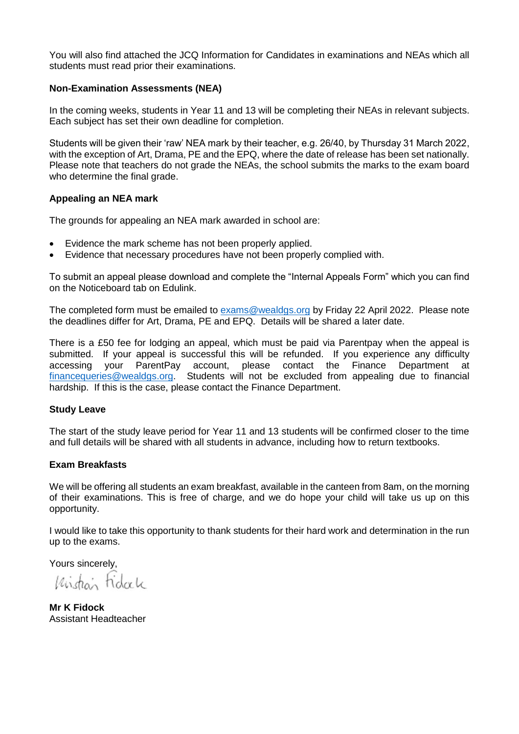You will also find attached the JCQ Information for Candidates in examinations and NEAs which all students must read prior their examinations.

### **Non-Examination Assessments (NEA)**

In the coming weeks, students in Year 11 and 13 will be completing their NEAs in relevant subjects. Each subject has set their own deadline for completion.

Students will be given their 'raw' NEA mark by their teacher, e.g. 26/40, by Thursday 31 March 2022, with the exception of Art, Drama, PE and the EPQ, where the date of release has been set nationally. Please note that teachers do not grade the NEAs, the school submits the marks to the exam board who determine the final grade.

### **Appealing an NEA mark**

The grounds for appealing an NEA mark awarded in school are:

- Evidence the mark scheme has not been properly applied.
- Evidence that necessary procedures have not been properly complied with.

To submit an appeal please download and complete the "Internal Appeals Form" which you can find on the Noticeboard tab on Edulink.

The completed form must be emailed to [exams@wealdgs.org](mailto:exams@wealdgs.org) by Friday 22 April 2022. Please note the deadlines differ for Art, Drama, PE and EPQ. Details will be shared a later date.

There is a £50 fee for lodging an appeal, which must be paid via Parentpay when the appeal is submitted. If your appeal is successful this will be refunded. If you experience any difficulty accessing your ParentPay account, please contact the Finance Department at [financequeries@wealdgs.org.](mailto:financequeries@wealdgs.org) Students will not be excluded from appealing due to financial hardship. If this is the case, please contact the Finance Department.

### **Study Leave**

The start of the study leave period for Year 11 and 13 students will be confirmed closer to the time and full details will be shared with all students in advance, including how to return textbooks.

### **Exam Breakfasts**

We will be offering all students an exam breakfast, available in the canteen from 8am, on the morning of their examinations. This is free of charge, and we do hope your child will take us up on this opportunity.

I would like to take this opportunity to thank students for their hard work and determination in the run up to the exams.

Yours sincerely,

Widan Fidack

**Mr K Fidock** Assistant Headteacher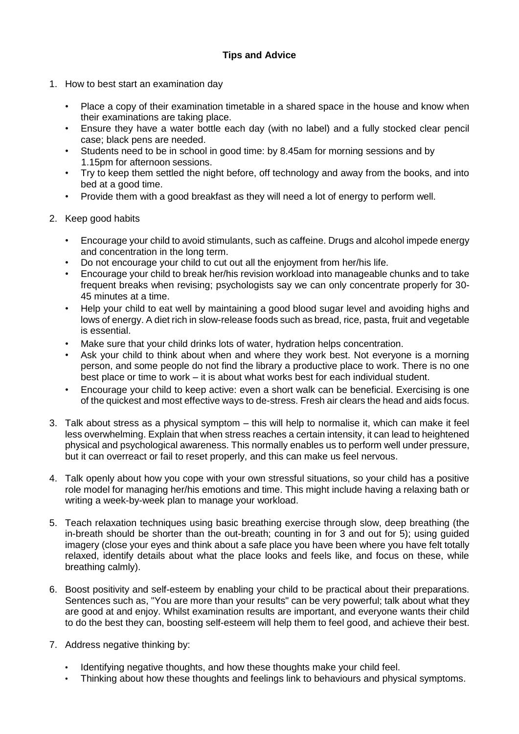# **Tips and Advice**

- 1. How to best start an examination day
	- Place a copy of their examination timetable in a shared space in the house and know when their examinations are taking place.
	- Ensure they have a water bottle each day (with no label) and a fully stocked clear pencil case; black pens are needed.
	- Students need to be in school in good time: by 8.45am for morning sessions and by 1.15pm for afternoon sessions.
	- Try to keep them settled the night before, off technology and away from the books, and into bed at a good time.
	- Provide them with a good breakfast as they will need a lot of energy to perform well.
- 2. Keep good habits
	- Encourage your child to avoid stimulants, such as caffeine. Drugs and alcohol impede energy and concentration in the long term.
	- Do not encourage your child to cut out all the enjoyment from her/his life.
	- Encourage your child to break her/his revision workload into manageable chunks and to take frequent breaks when revising; psychologists say we can only concentrate properly for 30- 45 minutes at a time.
	- Help your child to eat well by maintaining a good blood sugar level and avoiding highs and lows of energy. A diet rich in slow-release foods such as bread, rice, pasta, fruit and vegetable is essential.
	- Make sure that your child drinks lots of water, hydration helps concentration.
	- Ask your child to think about when and where they work best. Not everyone is a morning person, and some people do not find the library a productive place to work. There is no one best place or time to work – it is about what works best for each individual student.
	- Encourage your child to keep active: even a short walk can be beneficial. Exercising is one of the quickest and most effective ways to de-stress. Fresh air clears the head and aids focus.
- 3. Talk about stress as a physical symptom this will help to normalise it, which can make it feel less overwhelming. Explain that when stress reaches a certain intensity, it can lead to heightened physical and psychological awareness. This normally enables us to perform well under pressure, but it can overreact or fail to reset properly, and this can make us feel nervous.
- 4. Talk openly about how you cope with your own stressful situations, so your child has a positive role model for managing her/his emotions and time. This might include having a relaxing bath or writing a week-by-week plan to manage your workload.
- 5. Teach relaxation techniques using basic breathing exercise through slow, deep breathing (the in-breath should be shorter than the out-breath; counting in for 3 and out for 5); using guided imagery (close your eyes and think about a safe place you have been where you have felt totally relaxed, identify details about what the place looks and feels like, and focus on these, while breathing calmly).
- 6. Boost positivity and self-esteem by enabling your child to be practical about their preparations. Sentences such as, "You are more than your results" can be very powerful; talk about what they are good at and enjoy. Whilst examination results are important, and everyone wants their child to do the best they can, boosting self-esteem will help them to feel good, and achieve their best.
- 7. Address negative thinking by:
	- Identifying negative thoughts, and how these thoughts make your child feel.
	- Thinking about how these thoughts and feelings link to behaviours and physical symptoms.